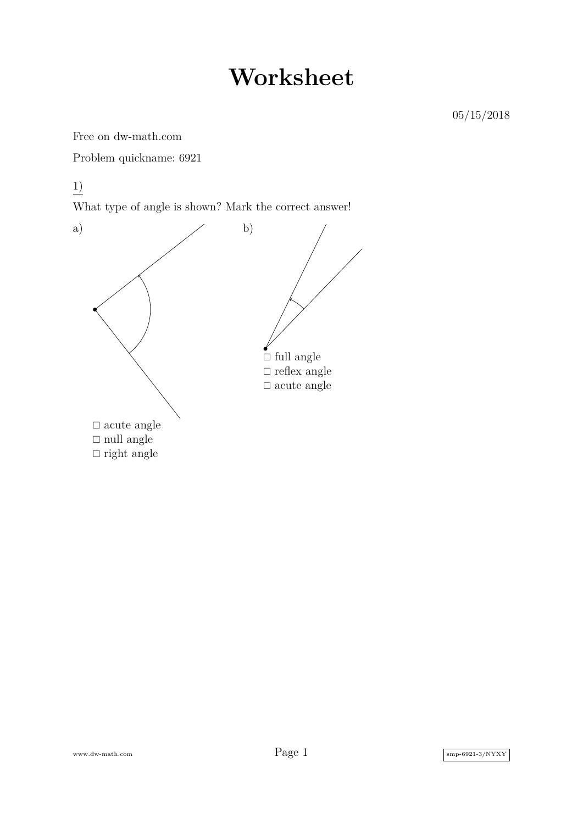## **Worksheet**

Free on dw-math.com

Problem quickname: 6921

1)

What type of angle is shown? Mark the correct answer!



www.dw-math.com  $Page\ 1$  smp-6921-3/NYXY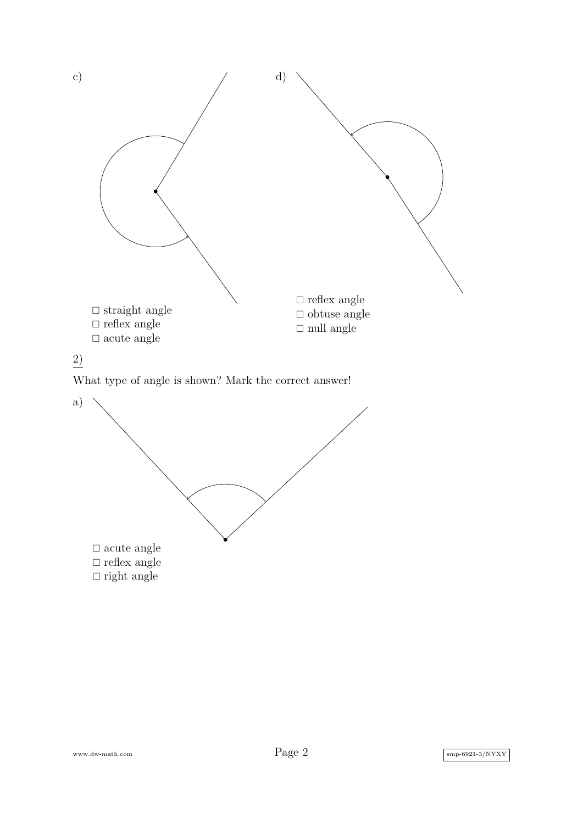

 $\square$ <br/>acute angle  $\Box$  reflex angle  $\Box$  right angle

www.dw-math.com  $Page\ 2$  smp-6921-3/NYXY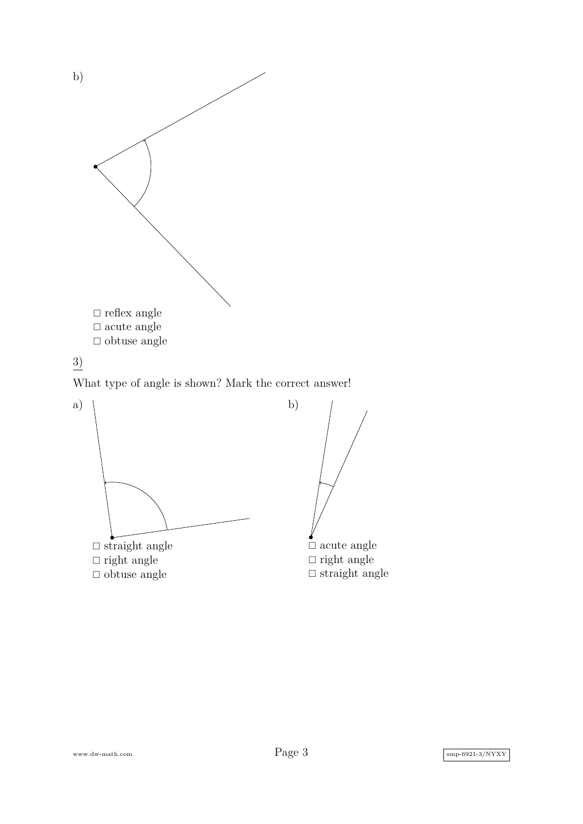



What type of angle is shown? Mark the correct answer!



www.dw-math.com  $Page\ 3$  smp-6921-3/NYXY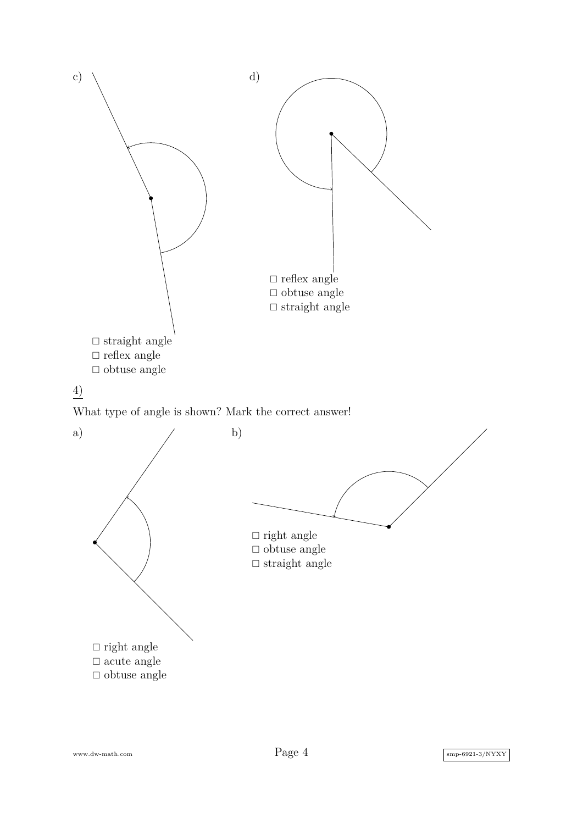

www.dw-math.com  $Page\ 4$  smp-6921-3/NYXY